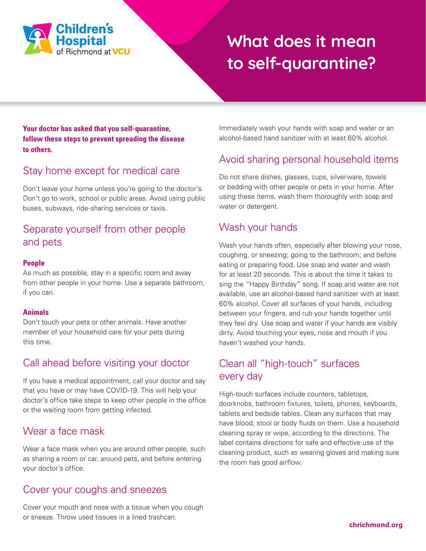

# **What does it mean to self-quarantine?**

#### **Your doctor has asked that you self-quarantine, follow these steps to prevent spreading the disease to others.**

## Stay home except for medical care

Don't leave your home unless you're going to the doctor's. Don't go to work, school or public areas. Avoid using public buses, subways, ride-sharing services or taxis.

### Separate yourself from other people and pets

#### **People**

As much as possible, stay in a specific room and away from other people in your home. Use a separate bathroom, if you can.

#### **Animals**

Don't touch your pets or other animals. Have another member of your household care for your pets during this time.

#### Call ahead before visiting your doctor

If you have a medical appointment, call your doctor and say that you have or may have COVID-19. This will help your doctor's office take steps to keep other people in the office or the waiting room from getting infected.

#### Wear a face mask

Wear a face mask when you are around other people, such as sharing a room or car, around pets, and before entering your doctor's office.

#### Cover your coughs and sneezes

Cover your mouth and nose with a tissue when you cough or sneeze. Throw used tissues in a lined trashcan.

Immediately wash your hands with soap and water or an alcohol-based hand sanitizer with at least 60% alcohol.

## Avoid sharing personal household items

Do not share dishes, glasses, cups, silverware, towels or bedding with other people or pets in your home. After using these items, wash them thoroughly with soap and water or detergent.

#### Wash your hands

Wash your hands often, especially after blowing your nose, coughing, or sneezing; going to the bathroom; and before eating or preparing food. Use soap and water and wash for at least 20 seconds. This is about the time it takes to sing the "Happy Birthday" song. If soap and water are not available, use an alcohol-based hand sanitizer with at least 60% alcohol. Cover all surfaces of your hands, including between your fingers, and rub your hands together until they feel dry. Use soap and water if your hands are visibly dirty. Avoid touching your eyes, nose and mouth if you haven't washed your hands.

#### Clean all "high-touch" surfaces every day

High-touch surfaces include counters, tabletops, doorknobs, bathroom fixtures, toilets, phones, keyboards, tablets and bedside tables. Clean any surfaces that may have blood, stool or body fluids on them. Use a household cleaning spray or wipe, according to the directions. The label contains directions for safe and effective use of the cleaning product, such as wearing gloves and making sure the room has good airflow.